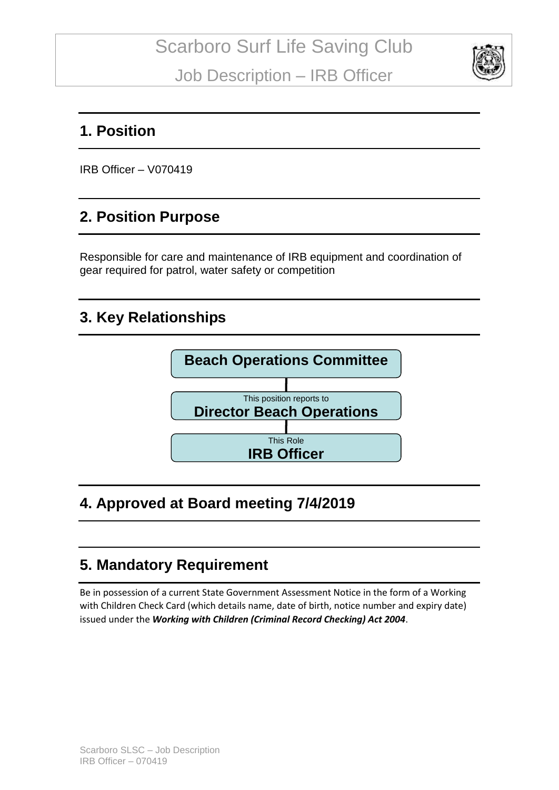

#### **1. Position**

IRB Officer – V070419

#### **2. Position Purpose**

Responsible for care and maintenance of IRB equipment and coordination of gear required for patrol, water safety or competition

## **3. Key Relationships**



# **4. Approved at Board meeting 7/4/2019**

### **5. Mandatory Requirement**

Be in possession of a current State Government Assessment Notice in the form of a Working with Children Check Card (which details name, date of birth, notice number and expiry date) issued under the *Working with Children (Criminal Record Checking) Act 2004*.